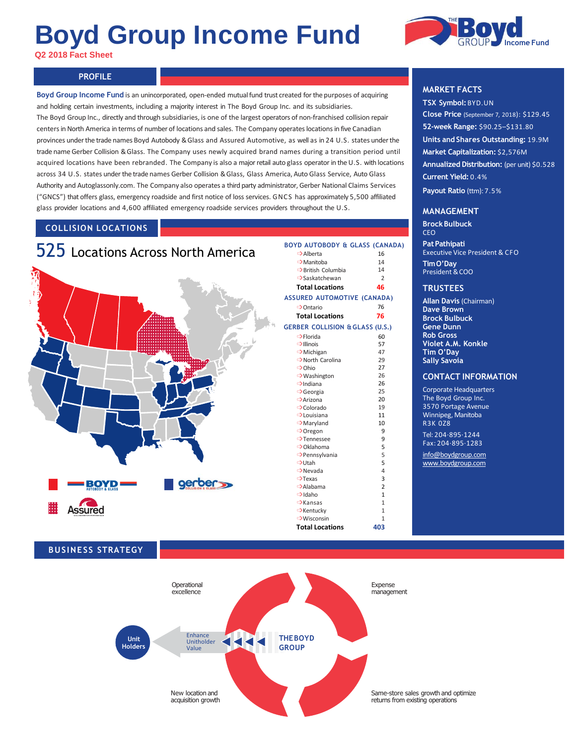# **Boyd Group Income Fund**

**Q2 2018 Fact Sheet**



# **PROFILE PROFILE**

**Boyd Group Income Fund** is an unincorporated, open-ended mutual fund trust created for the purposes of acquiring and holding certain investments, including a majority interest in The Boyd Group Inc. and its subsidiaries. The Boyd Group Inc., directly and through subsidiaries, is one of the largest operators of non-franchised collision repair centersin North America in terms of number of locations and sales. The Company operateslocations in five Canadian provinces under the trade names Boyd Autobody & Glass and Assured Automotive, as well as in 24 U.S. states underthe trade name Gerber Collision & Glass. The Company uses newly acquired brand names during a transition period until acquired locations have been rebranded. The Company is also a major retail auto glass operator in the U.S. with locations across 34 U.S. states under the trade names Gerber Collision & Glass, Glass America, Auto Glass Service, Auto Glass Authority and Autoglassonly.com. The Company also operates a third party administrator, Gerber National Claims Services ("GNCS") that offers glass, emergency roadside and first notice of loss services. GNCS has approximately 5,500 affiliated glass provider locations and 4,600 affiliated emergency roadside services providers throughout the U.S.

## **COLLISION LOCATIONS**





# **MARKET FACTS**

**TSX Symbol:**BYD.UN **Close Price** (September 7, 2018): \$129.45 **52-week Range:** \$90.25–\$131.80 **Units and Shares Outstanding:** 19.9M **Market Capitalization:** \$2,576M **Annualized Distribution:** (per unit) \$0.528 **Current Yield:** 0.4% **Payout Ratio** (ttm): 7.5%

#### **MANAGEMENT**

**BrockBulbuck** CEO

**PatPathipati** Executive Vice President & CFO **TimO'Day** President & COO

#### **TRUSTEES**

**Allan Davis** (Chairman) **Dave Brown Brock Bulbuck Gene Dunn Rob Gross Violet A.M. Konkle Tim O'Day Sally Savoia**

#### **CONTACT INFORMATION**

Corporate Headquarters The Boyd Group Inc. 3570 Portage Avenue Winnipeg, Manitoba R3K 0Z8

Tel: 204·895·1244 Fax: 204·895·1283 [info@boydgroup.com](mailto:info@boydgroup.com) [www.boydgroup.com](http://www.boydgroup.com/)

## **BUSINESS STRATEGY**